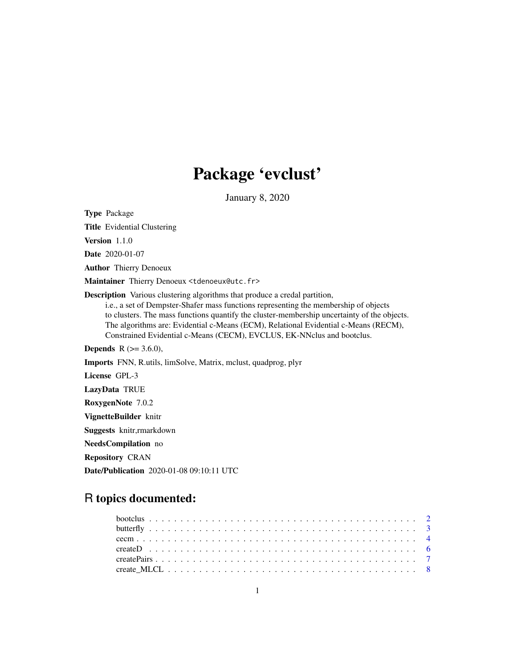# Package 'evclust'

January 8, 2020

<span id="page-0-0"></span>Type Package Title Evidential Clustering Version 1.1.0 Date 2020-01-07 Author Thierry Denoeux Maintainer Thierry Denoeux <tdenoeux@utc.fr> Description Various clustering algorithms that produce a credal partition, i.e., a set of Dempster-Shafer mass functions representing the membership of objects to clusters. The mass functions quantify the cluster-membership uncertainty of the objects. The algorithms are: Evidential c-Means (ECM), Relational Evidential c-Means (RECM), Constrained Evidential c-Means (CECM), EVCLUS, EK-NNclus and bootclus. **Depends** R  $(>= 3.6.0)$ , Imports FNN, R.utils, limSolve, Matrix, mclust, quadprog, plyr License GPL-3 LazyData TRUE RoxygenNote 7.0.2 VignetteBuilder knitr Suggests knitr,rmarkdown

NeedsCompilation no

Repository CRAN

Date/Publication 2020-01-08 09:10:11 UTC

# R topics documented: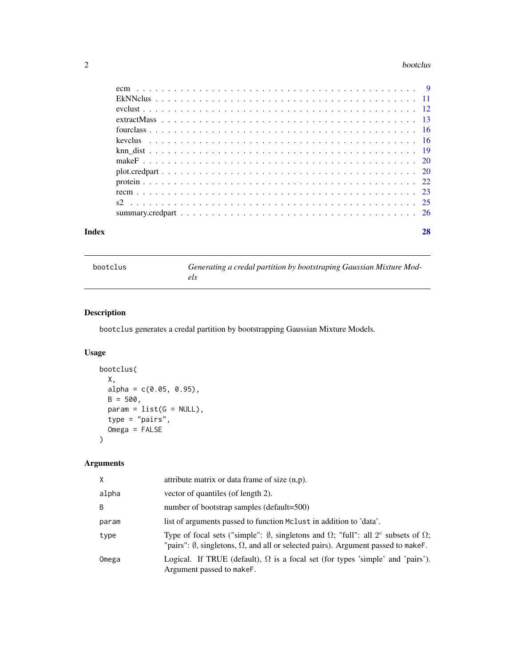#### <span id="page-1-0"></span>2 bootclus and the contract of the contract of the contract of the contract of the contract of the contract of the contract of the contract of the contract of the contract of the contract of the contract of the contract of

| Index |  |
|-------|--|
|       |  |
|       |  |
|       |  |
|       |  |
|       |  |
|       |  |
|       |  |
|       |  |
|       |  |
|       |  |
|       |  |
|       |  |
|       |  |

| bootclus |  |
|----------|--|
|          |  |

Generating a credal partition by bootstraping Gaussian Mixture Mod*els*

# Description

bootclus generates a credal partition by bootstrapping Gaussian Mixture Models.

# Usage

```
bootclus(
 X,
 alpha = c(0.05, 0.95),
 B = 500,param = list(G = NULL),type = "pairs",
 Omega = FALSE
)
```
# Arguments

| X.    | attribute matrix or data frame of size $(n,p)$ .                                                                                                                                                                               |
|-------|--------------------------------------------------------------------------------------------------------------------------------------------------------------------------------------------------------------------------------|
| alpha | vector of quantiles (of length 2).                                                                                                                                                                                             |
| B     | number of bootstrap samples (default=500)                                                                                                                                                                                      |
| param | list of arguments passed to function Mclust in addition to 'data'.                                                                                                                                                             |
| type  | Type of focal sets ("simple": $\emptyset$ , singletons and $\Omega$ ; "full": all 2 <sup>c</sup> subsets of $\Omega$ ;<br>"pairs": $\emptyset$ , singletons, $\Omega$ , and all or selected pairs). Argument passed to make F. |
| Omega | Logical. If TRUE (default), $\Omega$ is a focal set (for types 'simple' and 'pairs').<br>Argument passed to makeF.                                                                                                             |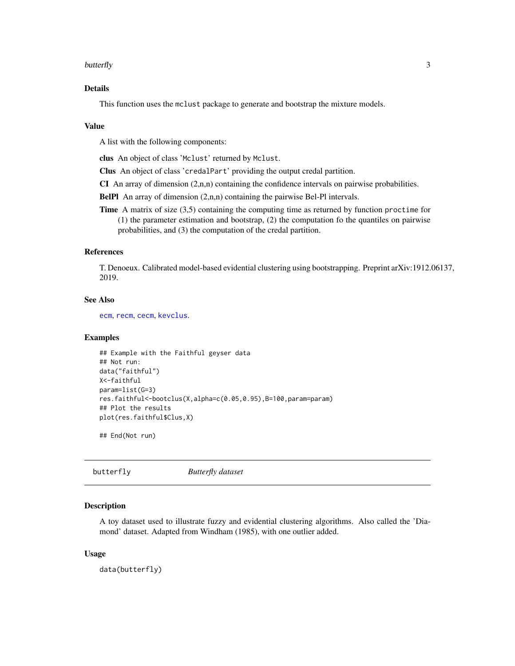#### <span id="page-2-0"></span>butterfly 3

# Details

This function uses the mclust package to generate and bootstrap the mixture models.

# Value

A list with the following components:

clus An object of class 'Mclust' returned by Mclust.

Clus An object of class 'credalPart' providing the output credal partition.

CI An array of dimension  $(2,n,n)$  containing the confidence intervals on pairwise probabilities.

BelPl An array of dimension (2,n,n) containing the pairwise Bel-Pl intervals.

Time A matrix of size (3,5) containing the computing time as returned by function proctime for (1) the parameter estimation and bootstrap, (2) the computation fo the quantiles on pairwise probabilities, and (3) the computation of the credal partition.

# References

T. Denoeux. Calibrated model-based evidential clustering using bootstrapping. Preprint arXiv:1912.06137, 2019.

# See Also

[ecm](#page-8-1), [recm](#page-22-1), [cecm](#page-3-1), [kevclus](#page-15-1).

# Examples

```
## Example with the Faithful geyser data
## Not run:
data("faithful")
X<-faithful
param=list(G=3)
res.faithful<-bootclus(X,alpha=c(0.05,0.95),B=100,param=param)
## Plot the results
plot(res.faithful$Clus,X)
```
## End(Not run)

butterfly *Butterfly dataset*

#### **Description**

A toy dataset used to illustrate fuzzy and evidential clustering algorithms. Also called the 'Diamond' dataset. Adapted from Windham (1985), with one outlier added.

# Usage

data(butterfly)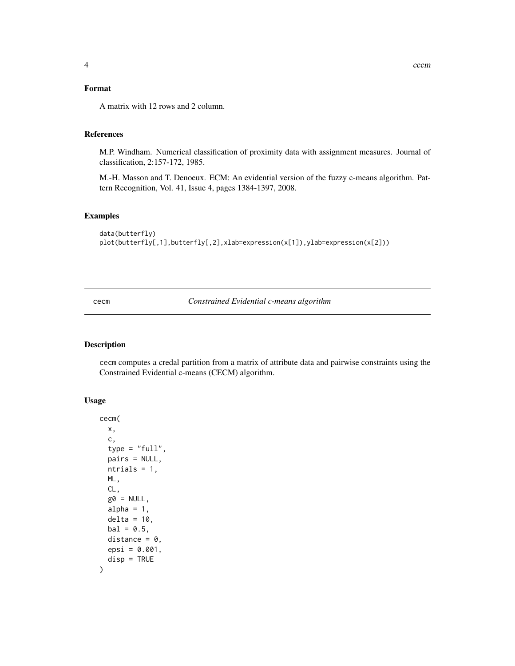<span id="page-3-0"></span>A matrix with 12 rows and 2 column.

# References

M.P. Windham. Numerical classification of proximity data with assignment measures. Journal of classification, 2:157-172, 1985.

M.-H. Masson and T. Denoeux. ECM: An evidential version of the fuzzy c-means algorithm. Pattern Recognition, Vol. 41, Issue 4, pages 1384-1397, 2008.

# Examples

```
data(butterfly)
plot(butterfly[,1],butterfly[,2],xlab=expression(x[1]),ylab=expression(x[2]))
```
<span id="page-3-1"></span>cecm *Constrained Evidential c-means algorithm*

# Description

cecm computes a credal partition from a matrix of attribute data and pairwise constraints using the Constrained Evidential c-means (CECM) algorithm.

#### Usage

```
cecm(
  x,
 c,
  type = "full",pairs = NULL,
 ntrials = 1,
 ML,
 CL,
  g0 = NULL,alpha = 1,
  delta = 10.
 bal = 0.5,distance = 0,
  epsi = 0.001,
  disp = TRUE)
```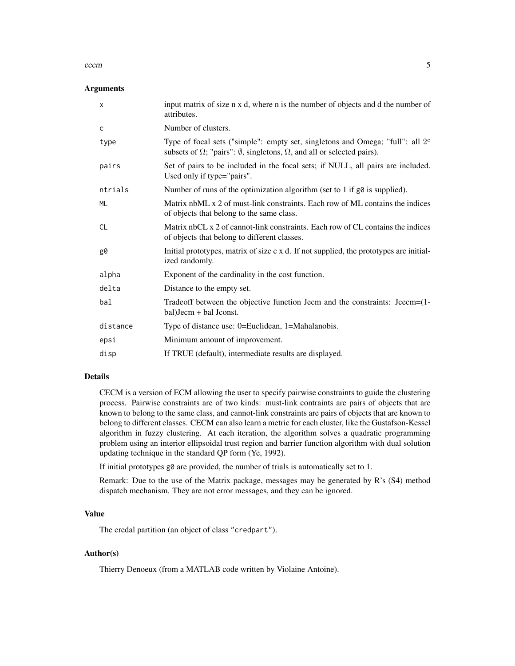#### cecm 5

# **Arguments**

| X         | input matrix of size n x d, where n is the number of objects and d the number of<br>attributes.                                                                                    |
|-----------|------------------------------------------------------------------------------------------------------------------------------------------------------------------------------------|
| C         | Number of clusters.                                                                                                                                                                |
| type      | Type of focal sets ("simple": empty set, singletons and Omega; "full": all $2c$<br>subsets of $\Omega$ ; "pairs": $\emptyset$ , singletons, $\Omega$ , and all or selected pairs). |
| pairs     | Set of pairs to be included in the focal sets; if NULL, all pairs are included.<br>Used only if type="pairs".                                                                      |
| ntrials   | Number of runs of the optimization algorithm (set to 1 if $g\theta$ is supplied).                                                                                                  |
| <b>ML</b> | Matrix nbML x 2 of must-link constraints. Each row of ML contains the indices<br>of objects that belong to the same class.                                                         |
| <b>CL</b> | Matrix nbCL x 2 of cannot-link constraints. Each row of CL contains the indices<br>of objects that belong to different classes.                                                    |
| g0        | Initial prototypes, matrix of size c x d. If not supplied, the prototypes are initial-<br>ized randomly.                                                                           |
| alpha     | Exponent of the cardinality in the cost function.                                                                                                                                  |
| delta     | Distance to the empty set.                                                                                                                                                         |
| bal       | Tradeoff between the objective function Jecm and the constraints: Jcecm=(1-<br>bal)Jecm + bal Jconst.                                                                              |
| distance  | Type of distance use: 0=Euclidean, 1=Mahalanobis.                                                                                                                                  |
| epsi      | Minimum amount of improvement.                                                                                                                                                     |
| disp      | If TRUE (default), intermediate results are displayed.                                                                                                                             |

# Details

CECM is a version of ECM allowing the user to specify pairwise constraints to guide the clustering process. Pairwise constraints are of two kinds: must-link contraints are pairs of objects that are known to belong to the same class, and cannot-link constraints are pairs of objects that are known to belong to different classes. CECM can also learn a metric for each cluster, like the Gustafson-Kessel algorithm in fuzzy clustering. At each iteration, the algorithm solves a quadratic programming problem using an interior ellipsoidal trust region and barrier function algorithm with dual solution updating technique in the standard QP form (Ye, 1992).

If initial prototypes g0 are provided, the number of trials is automatically set to 1.

Remark: Due to the use of the Matrix package, messages may be generated by R's (S4) method dispatch mechanism. They are not error messages, and they can be ignored.

# Value

The credal partition (an object of class "credpart").

# Author(s)

Thierry Denoeux (from a MATLAB code written by Violaine Antoine).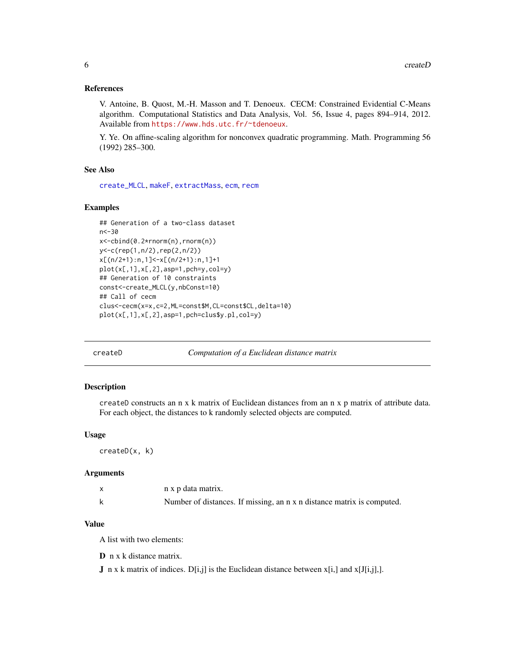# <span id="page-5-0"></span>References

V. Antoine, B. Quost, M.-H. Masson and T. Denoeux. CECM: Constrained Evidential C-Means algorithm. Computational Statistics and Data Analysis, Vol. 56, Issue 4, pages 894–914, 2012. Available from <https://www.hds.utc.fr/~tdenoeux>.

Y. Ye. On affine-scaling algorithm for nonconvex quadratic programming. Math. Programming 56 (1992) 285–300.

# See Also

[create\\_MLCL](#page-7-1), [makeF](#page-19-1), [extractMass](#page-12-1), [ecm](#page-8-1), [recm](#page-22-1)

# Examples

```
## Generation of a two-class dataset
n<-30
x<-cbind(0.2*rnorm(n),rnorm(n))
y<-c(rep(1,n/2),rep(2,n/2))
x[(n/2+1):n,1]<-x[(n/2+1):n,1]+1
plot(x[,1],x[,2],asp=1,pch=y,col=y)
## Generation of 10 constraints
const<-create_MLCL(y,nbConst=10)
## Call of cecm
clus<-cecm(x=x,c=2,ML=const$M,CL=const$CL,delta=10)
plot(x[,1],x[,2],asp=1,pch=clus$y.pl,col=y)
```
<span id="page-5-1"></span>createD *Computation of a Euclidean distance matrix*

#### Description

createD constructs an n x k matrix of Euclidean distances from an n x p matrix of attribute data. For each object, the distances to k randomly selected objects are computed.

## Usage

createD(x, k)

#### Arguments

| n x p data matrix.                                                     |
|------------------------------------------------------------------------|
| Number of distances. If missing, an n x n distance matrix is computed. |

#### Value

A list with two elements:

D n x k distance matrix.

**J** n x k matrix of indices.  $D[i,j]$  is the Euclidean distance between  $x[i,j]$  and  $x[J[i,j],]$ .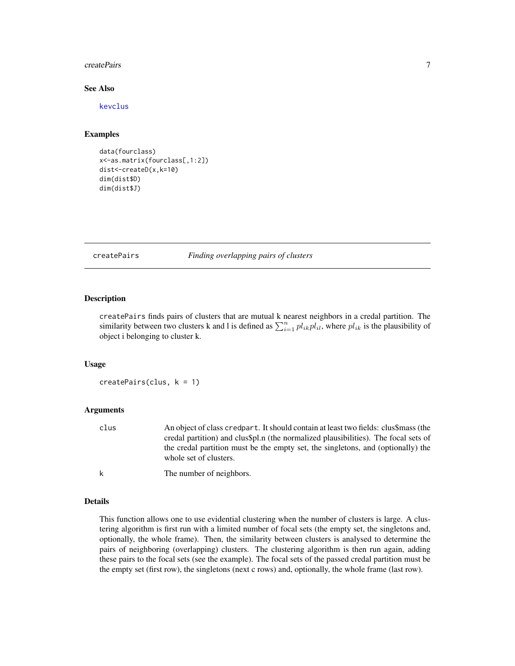#### <span id="page-6-0"></span>createPairs 7

#### See Also

[kevclus](#page-15-1)

# Examples

```
data(fourclass)
x<-as.matrix(fourclass[,1:2])
dist<-createD(x,k=10)
dim(dist$D)
dim(dist$J)
```
createPairs *Finding overlapping pairs of clusters*

#### Description

createPairs finds pairs of clusters that are mutual k nearest neighbors in a credal partition. The similarity between two clusters k and l is defined as  $\sum_{i=1}^{n} pl_{ik}pl_{il}$ , where  $pl_{ik}$  is the plausibility of object i belonging to cluster k.

# Usage

```
createPairs(clus, k = 1)
```
#### Arguments

clus An object of class credpart. It should contain at least two fields: clus\$mass (the credal partition) and clus\$pl.n (the normalized plausibilities). The focal sets of the credal partition must be the empty set, the singletons, and (optionally) the whole set of clusters.

k The number of neighbors.

# Details

This function allows one to use evidential clustering when the number of clusters is large. A clustering algorithm is first run with a limited number of focal sets (the empty set, the singletons and, optionally, the whole frame). Then, the similarity between clusters is analysed to determine the pairs of neighboring (overlapping) clusters. The clustering algorithm is then run again, adding these pairs to the focal sets (see the example). The focal sets of the passed credal partition must be the empty set (first row), the singletons (next c rows) and, optionally, the whole frame (last row).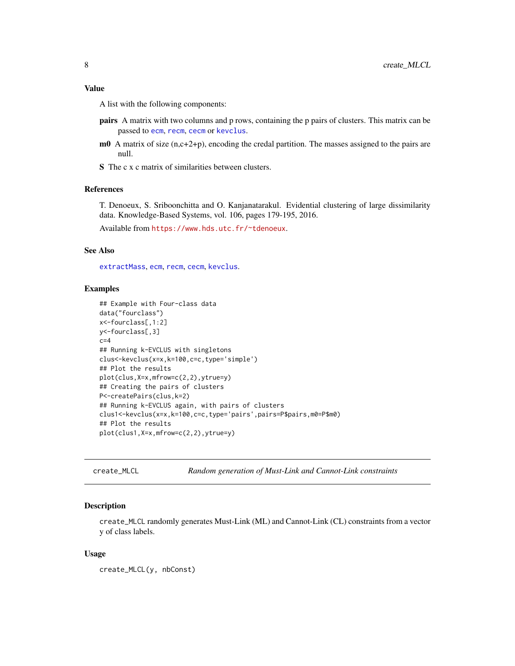# <span id="page-7-0"></span>Value

A list with the following components:

- pairs A matrix with two columns and p rows, containing the p pairs of clusters. This matrix can be passed to [ecm](#page-8-1), [recm](#page-22-1), [cecm](#page-3-1) or [kevclus](#page-15-1).
- $m<sup>0</sup>$  A matrix of size (n,c+2+p), encoding the credal partition. The masses assigned to the pairs are null.
- S The c x c matrix of similarities between clusters.

# References

T. Denoeux, S. Sriboonchitta and O. Kanjanatarakul. Evidential clustering of large dissimilarity data. Knowledge-Based Systems, vol. 106, pages 179-195, 2016.

Available from <https://www.hds.utc.fr/~tdenoeux>.

#### See Also

[extractMass](#page-12-1), [ecm](#page-8-1), [recm](#page-22-1), [cecm](#page-3-1), [kevclus](#page-15-1).

### Examples

```
## Example with Four-class data
data("fourclass")
x<-fourclass[,1:2]
y<-fourclass[,3]
c=4## Running k-EVCLUS with singletons
clus<-kevclus(x=x,k=100,c=c,type='simple')
## Plot the results
plot(clus,X=x,mfrow=c(2,2),ytrue=y)
## Creating the pairs of clusters
P<-createPairs(clus,k=2)
## Running k-EVCLUS again, with pairs of clusters
clus1<-kevclus(x=x,k=100,c=c,type='pairs',pairs=P$pairs,m0=P$m0)
## Plot the results
plot(clus1,X=x,mfrow=c(2,2),ytrue=y)
```
<span id="page-7-1"></span>create\_MLCL *Random generation of Must-Link and Cannot-Link constraints*

#### **Description**

create\_MLCL randomly generates Must-Link (ML) and Cannot-Link (CL) constraints from a vector y of class labels.

#### Usage

create\_MLCL(y, nbConst)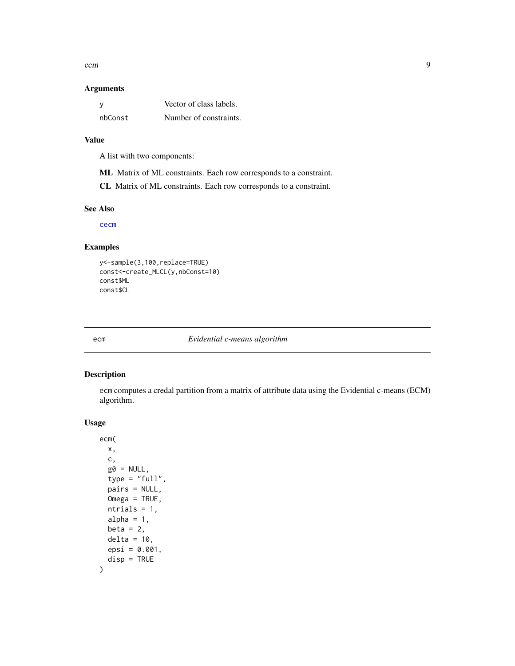<span id="page-8-0"></span>ecm and the set of the set of the set of the set of the set of the set of the set of the set of the set of the set of the set of the set of the set of the set of the set of the set of the set of the set of the set of the s

# Arguments

|         | Vector of class labels. |
|---------|-------------------------|
| nbConst | Number of constraints.  |

# Value

A list with two components:

ML Matrix of ML constraints. Each row corresponds to a constraint.

CL Matrix of ML constraints. Each row corresponds to a constraint.

# See Also

[cecm](#page-3-1)

# Examples

```
y<-sample(3,100,replace=TRUE)
const<-create_MLCL(y,nbConst=10)
const$ML
const$CL
```
<span id="page-8-1"></span>ecm *Evidential c-means algorithm*

# Description

ecm computes a credal partition from a matrix of attribute data using the Evidential c-means (ECM) algorithm.

# Usage

)

```
ecm(
 x,
 c,
 g0 = NULL,type = "full",
 pairs = NULL,
 Omega = TRUE,ntrials = 1,
  alpha = 1,
 beta = 2,
 delta = 10,
  epsi = 0.001,
  disp = TRUE
```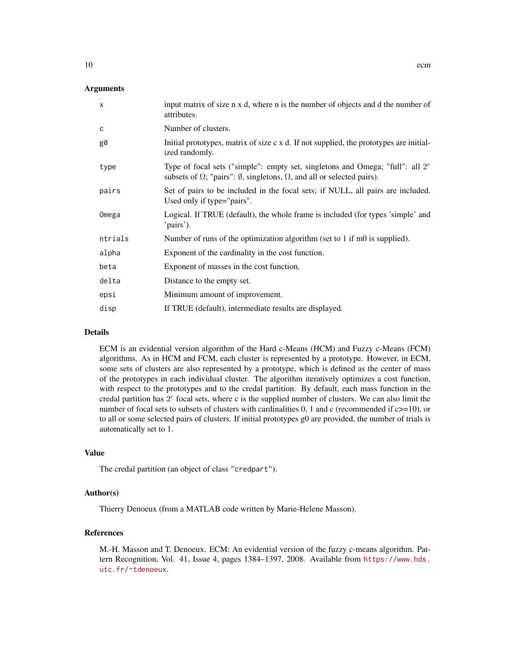# Arguments

| $\boldsymbol{\mathsf{x}}$ | input matrix of size n x d, where n is the number of objects and d the number of<br>attributes.                                                                                    |
|---------------------------|------------------------------------------------------------------------------------------------------------------------------------------------------------------------------------|
| C                         | Number of clusters.                                                                                                                                                                |
| g0                        | Initial prototypes, matrix of size c x d. If not supplied, the prototypes are initial-<br>ized randomly.                                                                           |
| type                      | Type of focal sets ("simple": empty set, singletons and Omega; "full": all $2c$<br>subsets of $\Omega$ ; "pairs": $\emptyset$ , singletons, $\Omega$ , and all or selected pairs). |
| pairs                     | Set of pairs to be included in the focal sets; if NULL, all pairs are included.<br>Used only if type="pairs".                                                                      |
| Omega                     | Logical. If TRUE (default), the whole frame is included (for types 'simple' and<br>'pairs').                                                                                       |
| ntrials                   | Number of runs of the optimization algorithm (set to 1 if m0 is supplied).                                                                                                         |
| alpha                     | Exponent of the cardinality in the cost function.                                                                                                                                  |
| beta                      | Exponent of masses in the cost function.                                                                                                                                           |
| delta                     | Distance to the empty set.                                                                                                                                                         |
| epsi                      | Minimum amount of improvement.                                                                                                                                                     |
| disp                      | If TRUE (default), intermediate results are displayed.                                                                                                                             |

#### Details

ECM is an evidential version algorithm of the Hard c-Means (HCM) and Fuzzy c-Means (FCM) algorithms. As in HCM and FCM, each cluster is represented by a prototype. However, in ECM, some sets of clusters are also represented by a prototype, which is defined as the center of mass of the prototypes in each individual cluster. The algorithm iteratively optimizes a cost function, with respect to the prototypes and to the credal partition. By default, each mass function in the credal partition has  $2<sup>c</sup>$  focal sets, where c is the supplied number of clusters. We can also limit the number of focal sets to subsets of clusters with cardinalities 0, 1 and c (recommended if c>=10), or to all or some selected pairs of clusters. If initial prototypes g0 are provided, the number of trials is automatically set to 1.

#### Value

The credal partition (an object of class "credpart").

# Author(s)

Thierry Denoeux (from a MATLAB code written by Marie-Helene Masson).

# References

M.-H. Masson and T. Denoeux. ECM: An evidential version of the fuzzy c-means algorithm. Pattern Recognition, Vol. 41, Issue 4, pages 1384–1397, 2008. Available from [https://www.hds.](https://www.hds.utc.fr/~tdenoeux) [utc.fr/~tdenoeux](https://www.hds.utc.fr/~tdenoeux).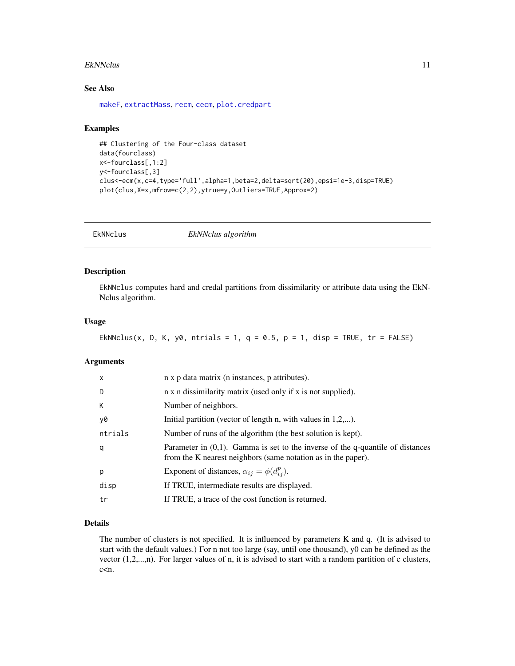#### <span id="page-10-0"></span>EkNNclus 11

# See Also

[makeF](#page-19-1), [extractMass](#page-12-1), [recm](#page-22-1), [cecm](#page-3-1), [plot.credpart](#page-19-2)

# Examples

```
## Clustering of the Four-class dataset
data(fourclass)
x<-fourclass[,1:2]
y<-fourclass[,3]
clus<-ecm(x,c=4,type='full',alpha=1,beta=2,delta=sqrt(20),epsi=1e-3,disp=TRUE)
plot(clus,X=x,mfrow=c(2,2),ytrue=y,Outliers=TRUE,Approx=2)
```
<span id="page-10-1"></span>

EkNNclus *EkNNclus algorithm*

# Description

EkNNclus computes hard and credal partitions from dissimilarity or attribute data using the EkN-Nclus algorithm.

# Usage

```
EkNNclus(x, D, K, y0, ntrials = 1, q = 0.5, p = 1, disp = TRUE, tr = FALSE)
```
# Arguments

| $\times$ | n x p data matrix (n instances, p attributes).                                                                                                     |
|----------|----------------------------------------------------------------------------------------------------------------------------------------------------|
| D        | n x n dissimilarity matrix (used only if x is not supplied).                                                                                       |
| К        | Number of neighbors.                                                                                                                               |
| y0       | Initial partition (vector of length n, with values in $1,2,$ ).                                                                                    |
| ntrials  | Number of runs of the algorithm (the best solution is kept).                                                                                       |
| q        | Parameter in $(0,1)$ . Gamma is set to the inverse of the q-quantile of distances<br>from the K nearest neighbors (same notation as in the paper). |
| p        | Exponent of distances, $\alpha_{ij} = \phi(d_{ij}^p)$ .                                                                                            |
| disp     | If TRUE, intermediate results are displayed.                                                                                                       |
| tr       | If TRUE, a trace of the cost function is returned.                                                                                                 |

# Details

The number of clusters is not specified. It is influenced by parameters K and q. (It is advised to start with the default values.) For n not too large (say, until one thousand), y0 can be defined as the vector (1,2,...,n). For larger values of n, it is advised to start with a random partition of c clusters, c<n.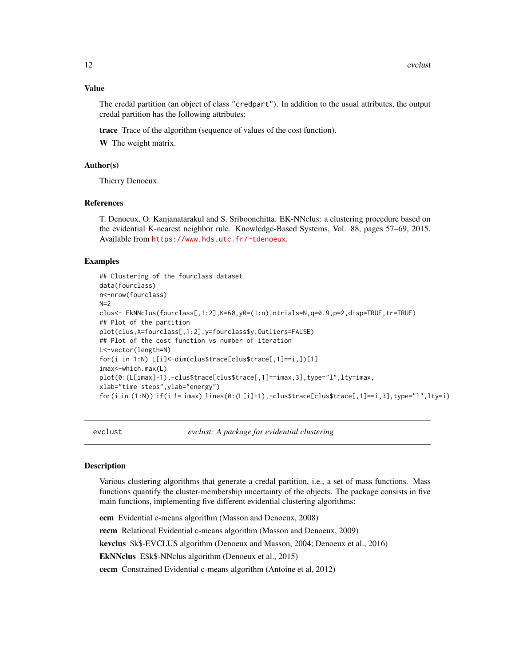# <span id="page-11-0"></span>Value

The credal partition (an object of class "credpart"). In addition to the usual attributes, the output credal partition has the following attributes:

trace Trace of the algorithm (sequence of values of the cost function).

W The weight matrix.

# Author(s)

Thierry Denoeux.

# References

T. Denoeux, O. Kanjanatarakul and S. Sriboonchitta. EK-NNclus: a clustering procedure based on the evidential K-nearest neighbor rule. Knowledge-Based Systems, Vol. 88, pages 57–69, 2015. Available from <https://www.hds.utc.fr/~tdenoeux>.

#### Examples

```
## Clustering of the fourclass dataset
data(fourclass)
n<-nrow(fourclass)
N=2clus<- EkNNclus(fourclass[,1:2],K=60,y0=(1:n),ntrials=N,q=0.9,p=2,disp=TRUE,tr=TRUE)
## Plot of the partition
plot(clus,X=fourclass[,1:2],y=fourclass$y,Outliers=FALSE)
## Plot of the cost function vs number of iteration
L<-vector(length=N)
for(i in 1:N) L[i]<-dim(clus$trace[clus$trace[,1]==i,])[1]
imax<-which.max(L)
plot(0:(L[imax]-1),-clus$trace[clus$trace[,1]==imax,3],type="l",lty=imax,
xlab="time steps",ylab="energy")
for(i in (1:N)) if(i != imax) lines(0:(L[i]-1),-clus$trace[clus$trace[,1]==i,3],type="l",lty=i)
```
evclust *evclust: A package for evidential clustering*

## Description

Various clustering algorithms that generate a credal partition, i.e., a set of mass functions. Mass functions quantify the cluster-membership uncertainty of the objects. The package consists in five main functions, implementing five different evidential clustering algorithms:

ecm Evidential c-means algorithm (Masson and Denoeux, 2008)

recm Relational Evidential c-means algorithm (Masson and Denoeux, 2009)

kevclus \$k\$-EVCLUS algorithm (Denoeux and Masson, 2004; Denoeux et al., 2016)

EkNNclus E\$k\$-NNclus algorithm (Denoeux et al., 2015)

cecm Constrained Evidential c-means algorithm (Antoine et al, 2012)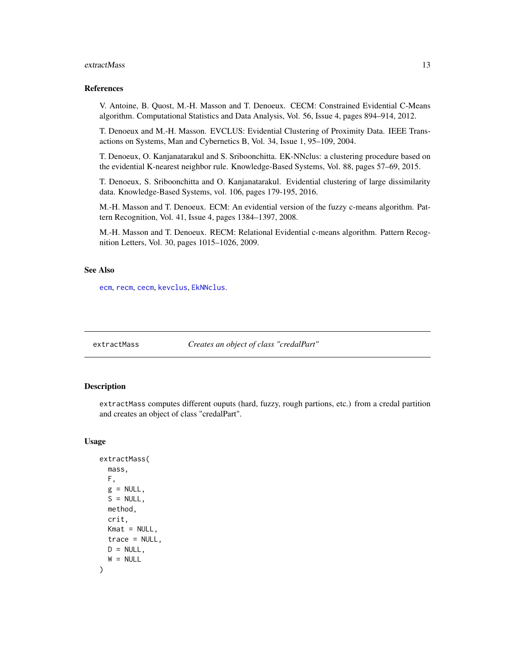#### <span id="page-12-0"></span>extractMass and the strategy of the strategy of the strategy of the strategy of the strategy of the strategy of the strategy of the strategy of the strategy of the strategy of the strategy of the strategy of the strategy o

# References

V. Antoine, B. Quost, M.-H. Masson and T. Denoeux. CECM: Constrained Evidential C-Means algorithm. Computational Statistics and Data Analysis, Vol. 56, Issue 4, pages 894–914, 2012.

T. Denoeux and M.-H. Masson. EVCLUS: Evidential Clustering of Proximity Data. IEEE Transactions on Systems, Man and Cybernetics B, Vol. 34, Issue 1, 95–109, 2004.

T. Denoeux, O. Kanjanatarakul and S. Sriboonchitta. EK-NNclus: a clustering procedure based on the evidential K-nearest neighbor rule. Knowledge-Based Systems, Vol. 88, pages 57–69, 2015.

T. Denoeux, S. Sriboonchitta and O. Kanjanatarakul. Evidential clustering of large dissimilarity data. Knowledge-Based Systems, vol. 106, pages 179-195, 2016.

M.-H. Masson and T. Denoeux. ECM: An evidential version of the fuzzy c-means algorithm. Pattern Recognition, Vol. 41, Issue 4, pages 1384–1397, 2008.

M.-H. Masson and T. Denoeux. RECM: Relational Evidential c-means algorithm. Pattern Recognition Letters, Vol. 30, pages 1015–1026, 2009.

# See Also

[ecm](#page-8-1), [recm](#page-22-1), [cecm](#page-3-1), [kevclus](#page-15-1), [EkNNclus](#page-10-1).

<span id="page-12-1"></span>

extractMass *Creates an object of class "credalPart"*

#### **Description**

extractMass computes different ouputs (hard, fuzzy, rough partions, etc.) from a credal partition and creates an object of class "credalPart".

#### Usage

```
extractMass(
 mass,
 F,
  g = NULL,S = NULL,method,
  crit,
 Kmat = NULL,trace = NULL,
 D = NULL,W = NULL)
```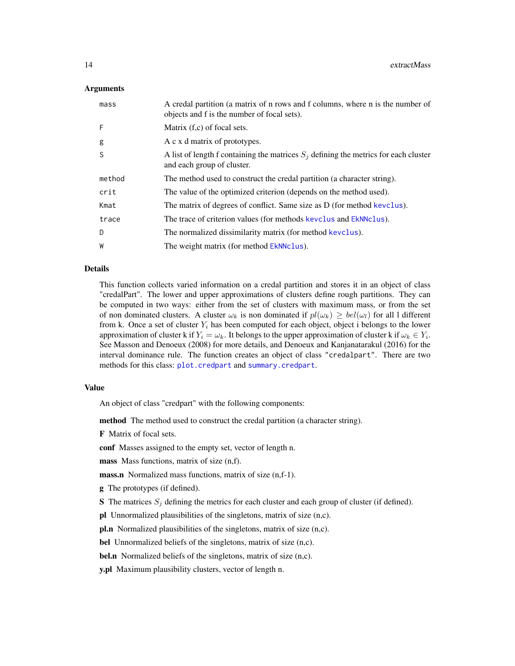# <span id="page-13-0"></span>Arguments

| mass   | A credal partition (a matrix of n rows and f columns, where n is the number of<br>objects and f is the number of focal sets). |
|--------|-------------------------------------------------------------------------------------------------------------------------------|
| F      | Matrix $(f, c)$ of focal sets.                                                                                                |
| g      | A c x d matrix of prototypes.                                                                                                 |
| S      | A list of length f containing the matrices $S_i$ defining the metrics for each cluster<br>and each group of cluster.          |
| method | The method used to construct the credal partition (a character string).                                                       |
| crit   | The value of the optimized criterion (depends on the method used).                                                            |
| Kmat   | The matrix of degrees of conflict. Same size as D (for method kevclus).                                                       |
| trace  | The trace of criterion values (for methods kevclus and EkNNclus).                                                             |
| D      | The normalized dissimilarity matrix (for method kevclus).                                                                     |
| W      | The weight matrix (for method EkNNclus).                                                                                      |

# Details

This function collects varied information on a credal partition and stores it in an object of class "credalPart". The lower and upper approximations of clusters define rough partitions. They can be computed in two ways: either from the set of clusters with maximum mass, or from the set of non dominated clusters. A cluster  $\omega_k$  is non dominated if  $pl(\omega_k) \geq bel(\omega_l)$  for all 1 different from k. Once a set of cluster  $Y_i$  has been computed for each object, object i belongs to the lower approximation of cluster k if  $Y_i = \omega_k$ . It belongs to the upper approximation of cluster k if  $\omega_k \in Y_i$ . See Masson and Denoeux (2008) for more details, and Denoeux and Kanjanatarakul (2016) for the interval dominance rule. The function creates an object of class "credalpart". There are two methods for this class: [plot.credpart](#page-19-2) and [summary.credpart](#page-25-1).

# Value

An object of class "credpart" with the following components:

method The method used to construct the credal partition (a character string).

F Matrix of focal sets.

conf Masses assigned to the empty set, vector of length n.

mass Mass functions, matrix of size (n,f).

mass.n Normalized mass functions, matrix of size (n,f-1).

g The prototypes (if defined).

S The matrices  $S_j$  defining the metrics for each cluster and each group of cluster (if defined).

pl Unnormalized plausibilities of the singletons, matrix of size (n,c).

pl.n Normalized plausibilities of the singletons, matrix of size (n,c).

bel Unnormalized beliefs of the singletons, matrix of size (n,c).

bel.n Normalized beliefs of the singletons, matrix of size (n,c).

y.pl Maximum plausibility clusters, vector of length n.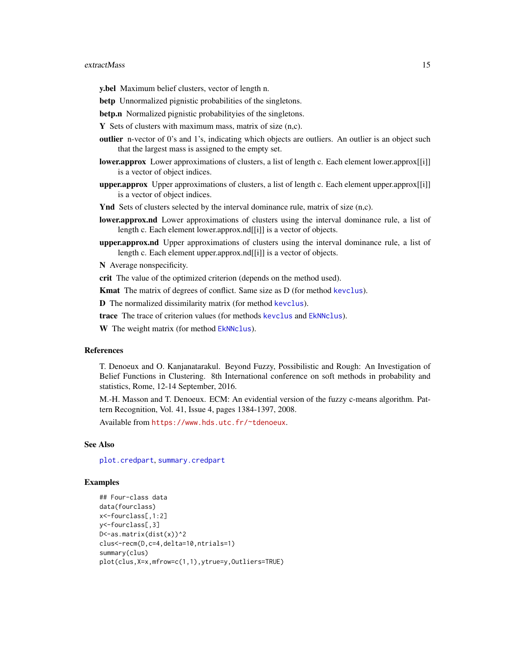#### <span id="page-14-0"></span>extractMass and the strategy of the strategy of the strategy of the strategy of the strategy of the strategy of the strategy of the strategy of the strategy of the strategy of the strategy of the strategy of the strategy o

y.bel Maximum belief clusters, vector of length n.

- betp Unnormalized pignistic probabilities of the singletons.
- betp.n Normalized pignistic probabilityies of the singletons.
- **Y** Sets of clusters with maximum mass, matrix of size  $(n,c)$ .
- outlier n-vector of 0's and 1's, indicating which objects are outliers. An outlier is an object such that the largest mass is assigned to the empty set.
- **lower.approx** Lower approximations of clusters, a list of length c. Each element lower.approx[[i]] is a vector of object indices.
- upper.approx Upper approximations of clusters, a list of length c. Each element upper.approx[[i]] is a vector of object indices.

Ynd Sets of clusters selected by the interval dominance rule, matrix of size (n,c).

- **lower.approx.nd** Lower approximations of clusters using the interval dominance rule, a list of length c. Each element lower.approx.nd[[i]] is a vector of objects.
- upper.approx.nd Upper approximations of clusters using the interval dominance rule, a list of length c. Each element upper.approx.nd[[i]] is a vector of objects.
- N Average nonspecificity.

crit The value of the optimized criterion (depends on the method used).

Kmat The matrix of degrees of conflict. Same size as D (for method [kevclus](#page-15-1)).

D The normalized dissimilarity matrix (for method [kevclus](#page-15-1)).

trace The trace of criterion values (for methods [kevclus](#page-15-1) and [EkNNclus](#page-10-1)).

W The weight matrix (for method [EkNNclus](#page-10-1)).

# References

T. Denoeux and O. Kanjanatarakul. Beyond Fuzzy, Possibilistic and Rough: An Investigation of Belief Functions in Clustering. 8th International conference on soft methods in probability and statistics, Rome, 12-14 September, 2016.

M.-H. Masson and T. Denoeux. ECM: An evidential version of the fuzzy c-means algorithm. Pattern Recognition, Vol. 41, Issue 4, pages 1384-1397, 2008.

Available from <https://www.hds.utc.fr/~tdenoeux>.

# See Also

[plot.credpart](#page-19-2), [summary.credpart](#page-25-1)

# Examples

```
## Four-class data
data(fourclass)
x<-fourclass[,1:2]
y<-fourclass[,3]
D<-as.matrix(dist(x))^2
clus<-recm(D,c=4,delta=10,ntrials=1)
summary(clus)
plot(clus,X=x,mfrow=c(1,1),ytrue=y,Outliers=TRUE)
```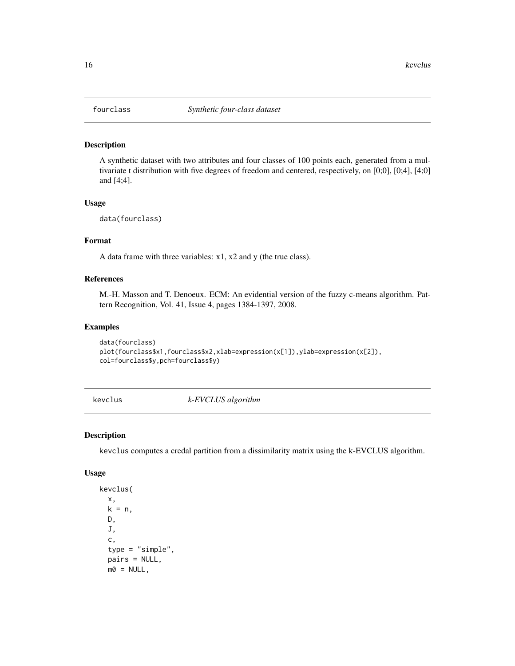<span id="page-15-0"></span>

# Description

A synthetic dataset with two attributes and four classes of 100 points each, generated from a multivariate t distribution with five degrees of freedom and centered, respectively, on [0;0], [0;4], [4;0] and [4;4].

# Usage

```
data(fourclass)
```
# Format

A data frame with three variables: x1, x2 and y (the true class).

## References

M.-H. Masson and T. Denoeux. ECM: An evidential version of the fuzzy c-means algorithm. Pattern Recognition, Vol. 41, Issue 4, pages 1384-1397, 2008.

# Examples

```
data(fourclass)
plot(fourclass$x1,fourclass$x2,xlab=expression(x[1]),ylab=expression(x[2]),
col=fourclass$y,pch=fourclass$y)
```
<span id="page-15-1"></span>kevclus *k-EVCLUS algorithm*

# Description

kevclus computes a credal partition from a dissimilarity matrix using the k-EVCLUS algorithm.

#### Usage

```
kevclus(
  x,
  k = n,
 D,
  J,
  c,
  type = "simple",
  pairs = NULL,
 m0 = NULL,
```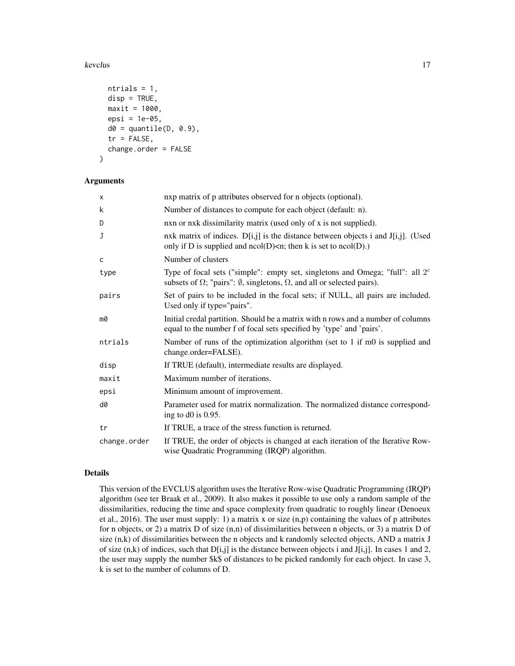#### kevclus and the set of the set of the set of the set of the set of the set of the set of the set of the set of the set of the set of the set of the set of the set of the set of the set of the set of the set of the set of t

```
ntrials = 1,
  disp = TRUE,maxit = 1000.
  epsi = 1e-05,
  d\theta = quantile(D, 0.9),
  tr = FALSE,change.order = FALSE
\lambda
```
# Arguments

| X            | nxp matrix of p attributes observed for n objects (optional).                                                                                                                      |
|--------------|------------------------------------------------------------------------------------------------------------------------------------------------------------------------------------|
| k            | Number of distances to compute for each object (default: n).                                                                                                                       |
| D            | nxn or nxk dissimilarity matrix (used only of x is not supplied).                                                                                                                  |
| J            | nxk matrix of indices. $D[i,j]$ is the distance between objects i and $J[i,j]$ . (Used<br>only if D is supplied and $ncol(D) < n$ ; then k is set to $ncol(D)$ .)                  |
| C            | Number of clusters                                                                                                                                                                 |
| type         | Type of focal sets ("simple": empty set, singletons and Omega; "full": all $2c$<br>subsets of $\Omega$ ; "pairs": $\emptyset$ , singletons, $\Omega$ , and all or selected pairs). |
| pairs        | Set of pairs to be included in the focal sets; if NULL, all pairs are included.<br>Used only if type="pairs".                                                                      |
| m0           | Initial credal partition. Should be a matrix with n rows and a number of columns<br>equal to the number f of focal sets specified by 'type' and 'pairs'.                           |
| ntrials      | Number of runs of the optimization algorithm (set to 1 if m0 is supplied and<br>change.order=FALSE).                                                                               |
| disp         | If TRUE (default), intermediate results are displayed.                                                                                                                             |
| maxit        | Maximum number of iterations.                                                                                                                                                      |
| epsi         | Minimum amount of improvement.                                                                                                                                                     |
| d0           | Parameter used for matrix normalization. The normalized distance correspond-<br>ing to $d0$ is 0.95.                                                                               |
| tr           | If TRUE, a trace of the stress function is returned.                                                                                                                               |
| change.order | If TRUE, the order of objects is changed at each iteration of the Iterative Row-<br>wise Quadratic Programming (IRQP) algorithm.                                                   |

# Details

This version of the EVCLUS algorithm uses the Iterative Row-wise Quadratic Programming (IRQP) algorithm (see ter Braak et al., 2009). It also makes it possible to use only a random sample of the dissimilarities, reducing the time and space complexity from quadratic to roughly linear (Denoeux et al., 2016). The user must supply: 1) a matrix x or size  $(n,p)$  containing the values of p attributes for n objects, or 2) a matrix D of size  $(n,n)$  of dissimilarities between n objects, or 3) a matrix D of size (n,k) of dissimilarities between the n objects and k randomly selected objects, AND a matrix J of size (n,k) of indices, such that  $D[i,j]$  is the distance between objects i and  $J[i,j]$ . In cases 1 and 2, the user may supply the number \$k\$ of distances to be picked randomly for each object. In case 3, k is set to the number of columns of D.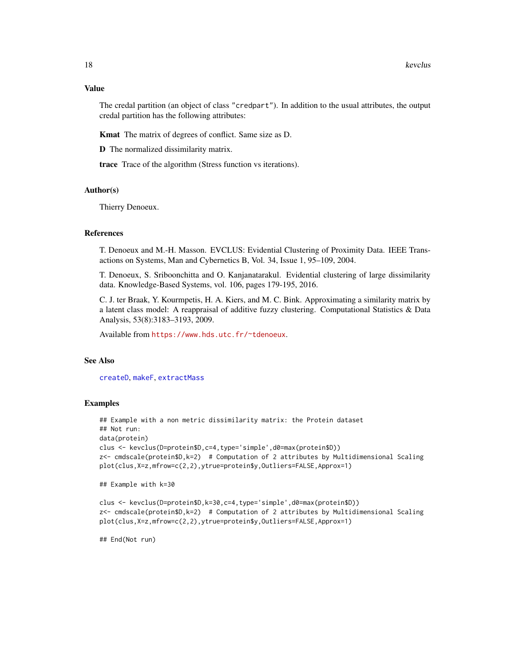#### <span id="page-17-0"></span>Value

The credal partition (an object of class "credpart"). In addition to the usual attributes, the output credal partition has the following attributes:

Kmat The matrix of degrees of conflict. Same size as D.

D The normalized dissimilarity matrix.

trace Trace of the algorithm (Stress function vs iterations).

# Author(s)

Thierry Denoeux.

#### References

T. Denoeux and M.-H. Masson. EVCLUS: Evidential Clustering of Proximity Data. IEEE Transactions on Systems, Man and Cybernetics B, Vol. 34, Issue 1, 95–109, 2004.

T. Denoeux, S. Sriboonchitta and O. Kanjanatarakul. Evidential clustering of large dissimilarity data. Knowledge-Based Systems, vol. 106, pages 179-195, 2016.

C. J. ter Braak, Y. Kourmpetis, H. A. Kiers, and M. C. Bink. Approximating a similarity matrix by a latent class model: A reappraisal of additive fuzzy clustering. Computational Statistics & Data Analysis, 53(8):3183–3193, 2009.

Available from <https://www.hds.utc.fr/~tdenoeux>.

# See Also

[createD](#page-5-1), [makeF](#page-19-1), [extractMass](#page-12-1)

## Examples

```
## Example with a non metric dissimilarity matrix: the Protein dataset
## Not run:
data(protein)
clus <- kevclus(D=protein$D,c=4,type='simple',d0=max(protein$D))
z<- cmdscale(protein$D,k=2) # Computation of 2 attributes by Multidimensional Scaling
plot(clus,X=z,mfrow=c(2,2),ytrue=protein$y,Outliers=FALSE,Approx=1)
```

```
## Example with k=30
```

```
clus <- kevclus(D=protein$D,k=30,c=4,type='simple',d0=max(protein$D))
z<- cmdscale(protein$D,k=2) # Computation of 2 attributes by Multidimensional Scaling
plot(clus,X=z,mfrow=c(2,2),ytrue=protein$y,Outliers=FALSE,Approx=1)
```
## End(Not run)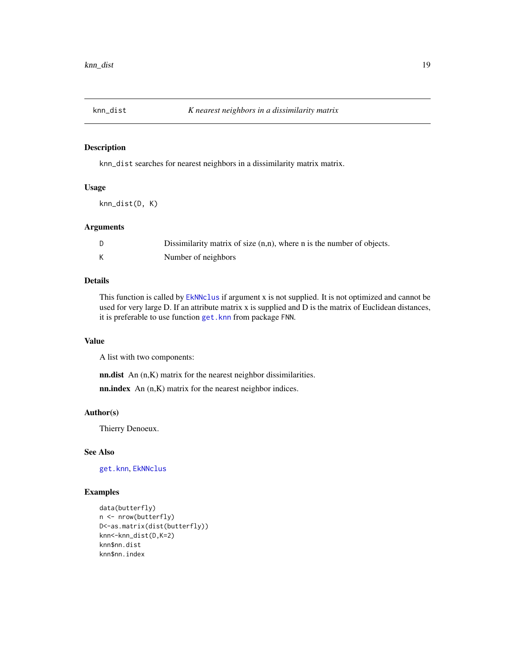<span id="page-18-0"></span>

# Description

knn\_dist searches for nearest neighbors in a dissimilarity matrix matrix.

# Usage

knn\_dist(D, K)

# Arguments

| Dissimilarity matrix of size $(n,n)$ , where n is the number of objects. |
|--------------------------------------------------------------------------|
| Number of neighbors                                                      |

# Details

This function is called by [EkNNclus](#page-10-1) if argument x is not supplied. It is not optimized and cannot be used for very large D. If an attribute matrix x is supplied and D is the matrix of Euclidean distances, it is preferable to use function [get.knn](#page-0-0) from package FNN.

#### Value

A list with two components:

nn.dist An (n,K) matrix for the nearest neighbor dissimilarities.

nn.index An (n,K) matrix for the nearest neighbor indices.

# Author(s)

Thierry Denoeux.

# See Also

[get.knn](#page-0-0), [EkNNclus](#page-10-1)

#### Examples

```
data(butterfly)
n <- nrow(butterfly)
D<-as.matrix(dist(butterfly))
knn<-knn_dist(D,K=2)
knn$nn.dist
knn$nn.index
```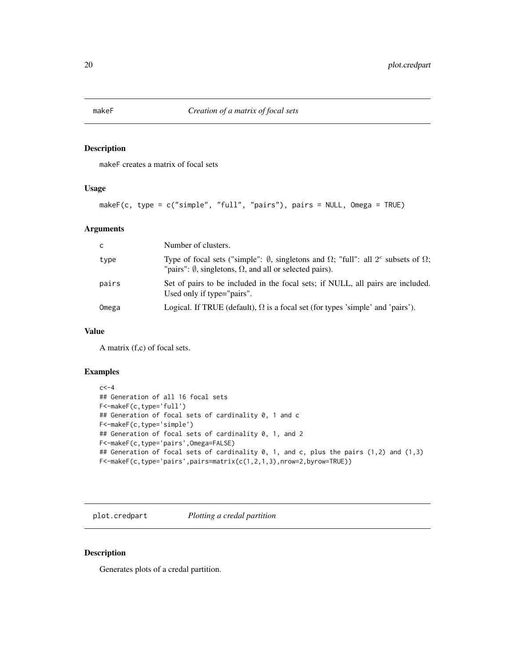# <span id="page-19-1"></span><span id="page-19-0"></span>Description

makeF creates a matrix of focal sets

# Usage

```
makeF(c, type = c("simple", "full", "pairs"), pairs = NULL, Omega = TRUE)
```
# Arguments

| c.    | Number of clusters.                                                                                                                                                                        |
|-------|--------------------------------------------------------------------------------------------------------------------------------------------------------------------------------------------|
| type  | Type of focal sets ("simple": $\emptyset$ , singletons and $\Omega$ ; "full": all $2^c$ subsets of $\Omega$ ;<br>"pairs": $\emptyset$ , singletons, $\Omega$ , and all or selected pairs). |
| pairs | Set of pairs to be included in the focal sets; if NULL, all pairs are included.<br>Used only if type="pairs".                                                                              |
| Omega | Logical. If TRUE (default), $\Omega$ is a focal set (for types 'simple' and 'pairs').                                                                                                      |

# Value

A matrix (f,c) of focal sets.

# Examples

```
c < -4## Generation of all 16 focal sets
F<-makeF(c,type='full')
## Generation of focal sets of cardinality 0, 1 and c
F<-makeF(c,type='simple')
## Generation of focal sets of cardinality 0, 1, and 2
F<-makeF(c,type='pairs',Omega=FALSE)
## Generation of focal sets of cardinality 0, 1, and c, plus the pairs (1,2) and (1,3)
F<-makeF(c,type='pairs',pairs=matrix(c(1,2,1,3),nrow=2,byrow=TRUE))
```
<span id="page-19-2"></span>plot.credpart *Plotting a credal partition*

# Description

Generates plots of a credal partition.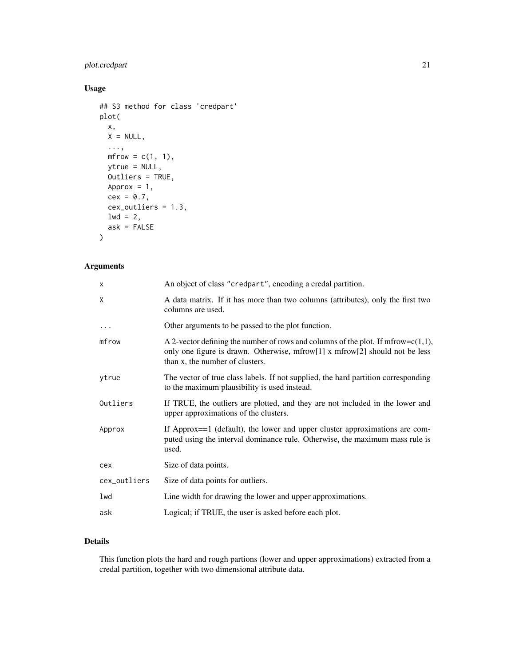# plot.credpart 21

# Usage

```
## S3 method for class 'credpart'
plot(
 x,
 X = NULL,...,
 mfrow = c(1, 1),
 ytrue = NULL,
 Outliers = TRUE,
 Approx = 1,
 cex = 0.7,
 cex_outliers = 1.3,
 1wd = 2,ask = FALSE)
```
# Arguments

| X            | An object of class "credpart", encoding a credal partition.                                                                                                                                            |
|--------------|--------------------------------------------------------------------------------------------------------------------------------------------------------------------------------------------------------|
| Χ            | A data matrix. If it has more than two columns (attributes), only the first two<br>columns are used.                                                                                                   |
| $\ldots$     | Other arguments to be passed to the plot function.                                                                                                                                                     |
| mfrow        | A 2-vector defining the number of rows and columns of the plot. If mfrow= $c(1,1)$ ,<br>only one figure is drawn. Otherwise, mfrow[1] x mfrow[2] should not be less<br>than x, the number of clusters. |
| ytrue        | The vector of true class labels. If not supplied, the hard partition corresponding<br>to the maximum plausibility is used instead.                                                                     |
| Outliers     | If TRUE, the outliers are plotted, and they are not included in the lower and<br>upper approximations of the clusters.                                                                                 |
| Approx       | If Approx==1 (default), the lower and upper cluster approximations are com-<br>puted using the interval dominance rule. Otherwise, the maximum mass rule is<br>used.                                   |
| cex          | Size of data points.                                                                                                                                                                                   |
| cex_outliers | Size of data points for outliers.                                                                                                                                                                      |
| lwd          | Line width for drawing the lower and upper approximations.                                                                                                                                             |
| ask          | Logical; if TRUE, the user is asked before each plot.                                                                                                                                                  |

# Details

This function plots the hard and rough partions (lower and upper approximations) extracted from a credal partition, together with two dimensional attribute data.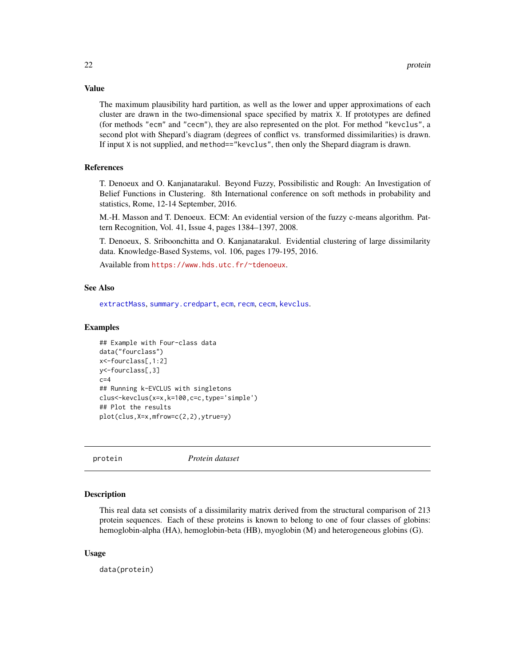The maximum plausibility hard partition, as well as the lower and upper approximations of each cluster are drawn in the two-dimensional space specified by matrix X. If prototypes are defined (for methods "ecm" and "cecm"), they are also represented on the plot. For method "kevclus", a second plot with Shepard's diagram (degrees of conflict vs. transformed dissimilarities) is drawn. If input X is not supplied, and method=="kevclus", then only the Shepard diagram is drawn.

# References

T. Denoeux and O. Kanjanatarakul. Beyond Fuzzy, Possibilistic and Rough: An Investigation of Belief Functions in Clustering. 8th International conference on soft methods in probability and statistics, Rome, 12-14 September, 2016.

M.-H. Masson and T. Denoeux. ECM: An evidential version of the fuzzy c-means algorithm. Pattern Recognition, Vol. 41, Issue 4, pages 1384–1397, 2008.

T. Denoeux, S. Sriboonchitta and O. Kanjanatarakul. Evidential clustering of large dissimilarity data. Knowledge-Based Systems, vol. 106, pages 179-195, 2016.

Available from <https://www.hds.utc.fr/~tdenoeux>.

# See Also

[extractMass](#page-12-1), [summary.credpart](#page-25-1), [ecm](#page-8-1), [recm](#page-22-1), [cecm](#page-3-1), [kevclus](#page-15-1).

#### Examples

```
## Example with Four-class data
data("fourclass")
x<-fourclass[,1:2]
y<-fourclass[,3]
c=4## Running k-EVCLUS with singletons
clus<-kevclus(x=x,k=100,c=c,type='simple')
## Plot the results
plot(clus,X=x,mfrow=c(2,2),ytrue=y)
```
protein *Protein dataset*

#### Description

This real data set consists of a dissimilarity matrix derived from the structural comparison of 213 protein sequences. Each of these proteins is known to belong to one of four classes of globins: hemoglobin-alpha (HA), hemoglobin-beta (HB), myoglobin (M) and heterogeneous globins (G).

# Usage

data(protein)

# <span id="page-21-0"></span>Value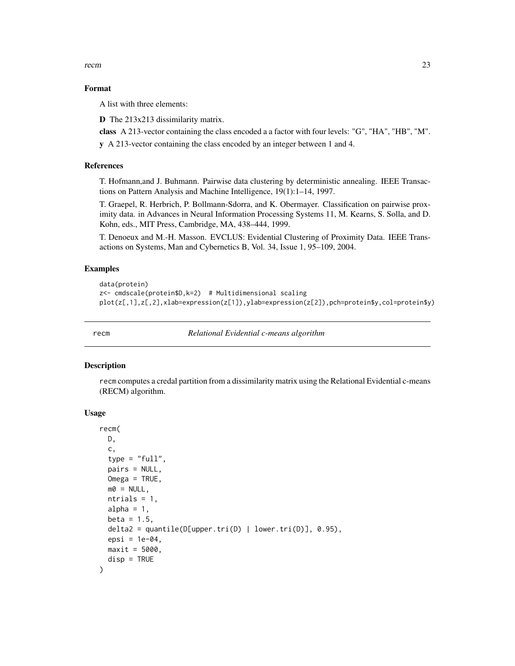<span id="page-22-0"></span>recm 23

# Format

A list with three elements:

D The 213x213 dissimilarity matrix.

class A 213-vector containing the class encoded a a factor with four levels: "G", "HA", "HB", "M".

y A 213-vector containing the class encoded by an integer between 1 and 4.

# References

T. Hofmann,and J. Buhmann. Pairwise data clustering by deterministic annealing. IEEE Transactions on Pattern Analysis and Machine Intelligence, 19(1):1–14, 1997.

T. Graepel, R. Herbrich, P. Bollmann-Sdorra, and K. Obermayer. Classification on pairwise proximity data. in Advances in Neural Information Processing Systems 11, M. Kearns, S. Solla, and D. Kohn, eds., MIT Press, Cambridge, MA, 438–444, 1999.

T. Denoeux and M.-H. Masson. EVCLUS: Evidential Clustering of Proximity Data. IEEE Transactions on Systems, Man and Cybernetics B, Vol. 34, Issue 1, 95–109, 2004.

# Examples

```
data(protein)
z<- cmdscale(protein$D,k=2) # Multidimensional scaling
plot(z[,1],z[,2],xlab=expression(z[1]),ylab=expression(z[2]),pch=protein$y,col=protein$y)
```
<span id="page-22-1"></span>

recm *Relational Evidential c-means algorithm*

# Description

recm computes a credal partition from a dissimilarity matrix using the Relational Evidential c-means (RECM) algorithm.

#### Usage

```
recm(
  D,
  c,
  type = "full",pairs = NULL,
  Omega = TRUE,m0 = NULL,ntrials = 1,
  alpha = 1,
  beta = 1.5,
  delta2 = quantile(D[upper.tri(D) | lower.tri(D)], 0.95),
  epsi = 1e-04.
 maxit = 5000,
  disp = TRUE)
```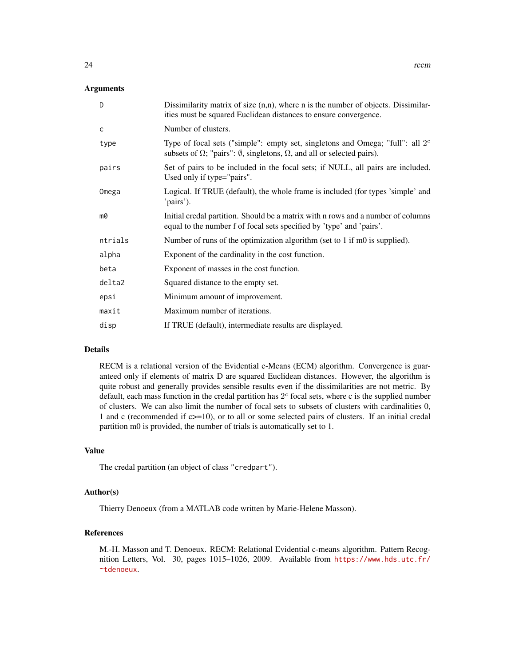# Arguments

| D       | Dissimilarity matrix of size $(n,n)$ , where n is the number of objects. Dissimilar-<br>ities must be squared Euclidean distances to ensure convergence.                           |
|---------|------------------------------------------------------------------------------------------------------------------------------------------------------------------------------------|
| C       | Number of clusters.                                                                                                                                                                |
| type    | Type of focal sets ("simple": empty set, singletons and Omega; "full": all $2c$<br>subsets of $\Omega$ ; "pairs": $\emptyset$ , singletons, $\Omega$ , and all or selected pairs). |
| pairs   | Set of pairs to be included in the focal sets; if NULL, all pairs are included.<br>Used only if type="pairs".                                                                      |
| Omega   | Logical. If TRUE (default), the whole frame is included (for types 'simple' and<br>'pairs').                                                                                       |
| mØ      | Initial credal partition. Should be a matrix with n rows and a number of columns<br>equal to the number f of focal sets specified by 'type' and 'pairs'.                           |
| ntrials | Number of runs of the optimization algorithm (set to $1$ if m0 is supplied).                                                                                                       |
| alpha   | Exponent of the cardinality in the cost function.                                                                                                                                  |
| beta    | Exponent of masses in the cost function.                                                                                                                                           |
| delta2  | Squared distance to the empty set.                                                                                                                                                 |
| epsi    | Minimum amount of improvement.                                                                                                                                                     |
| maxit   | Maximum number of iterations.                                                                                                                                                      |
| disp    | If TRUE (default), intermediate results are displayed.                                                                                                                             |
|         |                                                                                                                                                                                    |

# Details

RECM is a relational version of the Evidential c-Means (ECM) algorithm. Convergence is guaranteed only if elements of matrix D are squared Euclidean distances. However, the algorithm is quite robust and generally provides sensible results even if the dissimilarities are not metric. By default, each mass function in the credal partition has  $2<sup>c</sup>$  focal sets, where c is the supplied number of clusters. We can also limit the number of focal sets to subsets of clusters with cardinalities 0, 1 and c (recommended if c>=10), or to all or some selected pairs of clusters. If an initial credal partition m0 is provided, the number of trials is automatically set to 1.

#### Value

The credal partition (an object of class "credpart").

# Author(s)

Thierry Denoeux (from a MATLAB code written by Marie-Helene Masson).

# References

M.-H. Masson and T. Denoeux. RECM: Relational Evidential c-means algorithm. Pattern Recognition Letters, Vol. 30, pages 1015–1026, 2009. Available from [https://www.hds.utc.fr/](https://www.hds.utc.fr/~tdenoeux) [~tdenoeux](https://www.hds.utc.fr/~tdenoeux).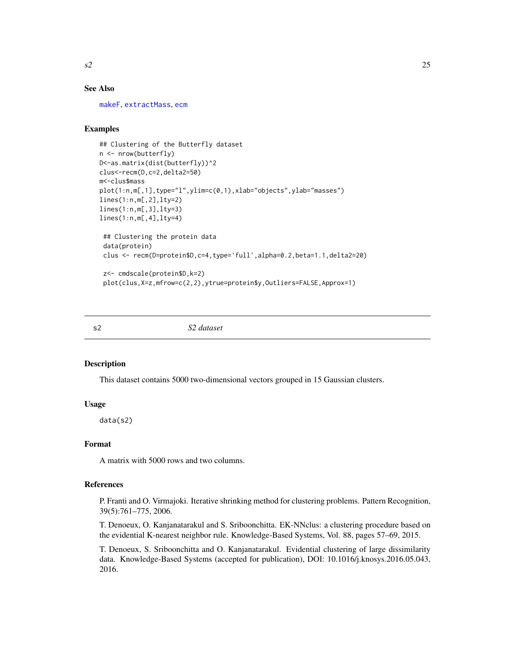# See Also

[makeF](#page-19-1), [extractMass](#page-12-1), [ecm](#page-8-1)

# Examples

```
## Clustering of the Butterfly dataset
n <- nrow(butterfly)
D<-as.matrix(dist(butterfly))^2
clus<-recm(D,c=2,delta2=50)
m<-clus$mass
plot(1:n,m[,1],type="l",ylim=c(0,1),xlab="objects",ylab="masses")
lines(1:n,m[,2],lty=2)
lines(1:n,m[,3],lty=3)
lines(1:n,m[,4],lty=4)
 ## Clustering the protein data
 data(protein)
 clus <- recm(D=protein$D,c=4,type='full',alpha=0.2,beta=1.1,delta2=20)
 z<- cmdscale(protein$D,k=2)
 plot(clus,X=z,mfrow=c(2,2),ytrue=protein$y,Outliers=FALSE,Approx=1)
```
s2 *S2 dataset*

#### Description

This dataset contains 5000 two-dimensional vectors grouped in 15 Gaussian clusters.

## Usage

data(s2)

# Format

A matrix with 5000 rows and two columns.

# References

P. Franti and O. Virmajoki. Iterative shrinking method for clustering problems. Pattern Recognition, 39(5):761–775, 2006.

T. Denoeux, O. Kanjanatarakul and S. Sriboonchitta. EK-NNclus: a clustering procedure based on the evidential K-nearest neighbor rule. Knowledge-Based Systems, Vol. 88, pages 57–69, 2015.

T. Denoeux, S. Sriboonchitta and O. Kanjanatarakul. Evidential clustering of large dissimilarity data. Knowledge-Based Systems (accepted for publication), DOI: 10.1016/j.knosys.2016.05.043, 2016.

<span id="page-24-0"></span>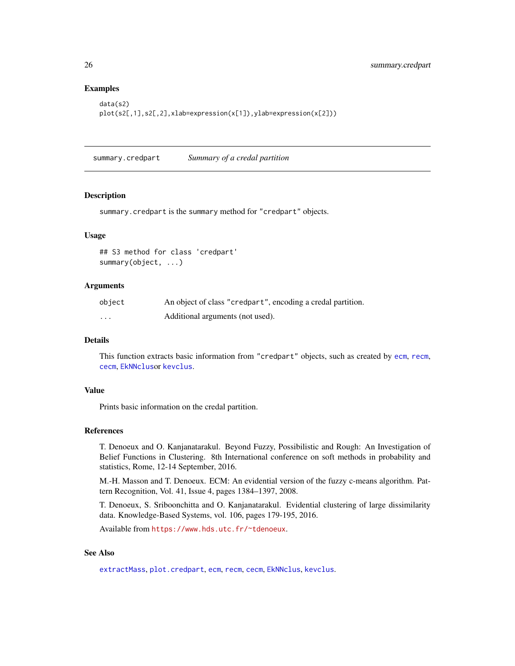# Examples

```
data(s2)
plot(s2[,1],s2[,2],xlab=expression(x[1]),ylab=expression(x[2]))
```
<span id="page-25-1"></span>summary.credpart *Summary of a credal partition*

#### **Description**

summary.credpart is the summary method for "credpart" objects.

# Usage

```
## S3 method for class 'credpart'
summary(object, ...)
```
# Arguments

| object   | An object of class "credpart", encoding a credal partition. |
|----------|-------------------------------------------------------------|
| $\cdots$ | Additional arguments (not used).                            |

# Details

This function extracts basic information from "credpart" objects, such as created by [ecm](#page-8-1), [recm](#page-22-1), [cecm](#page-3-1), [EkNNclus](#page-10-1)or [kevclus](#page-15-1).

# Value

Prints basic information on the credal partition.

#### References

T. Denoeux and O. Kanjanatarakul. Beyond Fuzzy, Possibilistic and Rough: An Investigation of Belief Functions in Clustering. 8th International conference on soft methods in probability and statistics, Rome, 12-14 September, 2016.

M.-H. Masson and T. Denoeux. ECM: An evidential version of the fuzzy c-means algorithm. Pattern Recognition, Vol. 41, Issue 4, pages 1384–1397, 2008.

T. Denoeux, S. Sriboonchitta and O. Kanjanatarakul. Evidential clustering of large dissimilarity data. Knowledge-Based Systems, vol. 106, pages 179-195, 2016.

Available from <https://www.hds.utc.fr/~tdenoeux>.

# See Also

[extractMass](#page-12-1), [plot.credpart](#page-19-2), [ecm](#page-8-1), [recm](#page-22-1), [cecm](#page-3-1), [EkNNclus](#page-10-1), [kevclus](#page-15-1).

<span id="page-25-0"></span>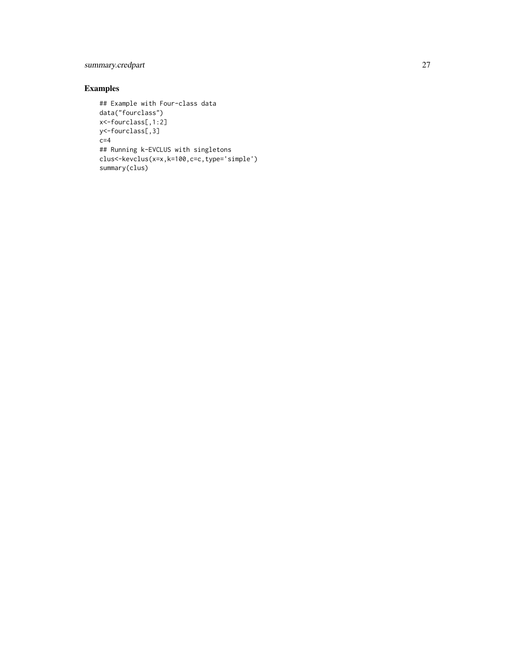# summary.credpart 27

# Examples

```
## Example with Four-class data
data("fourclass")
x<-fourclass[,1:2]
y<-fourclass[,3]
c=4## Running k-EVCLUS with singletons
clus<-kevclus(x=x,k=100,c=c,type='simple')
summary(clus)
```